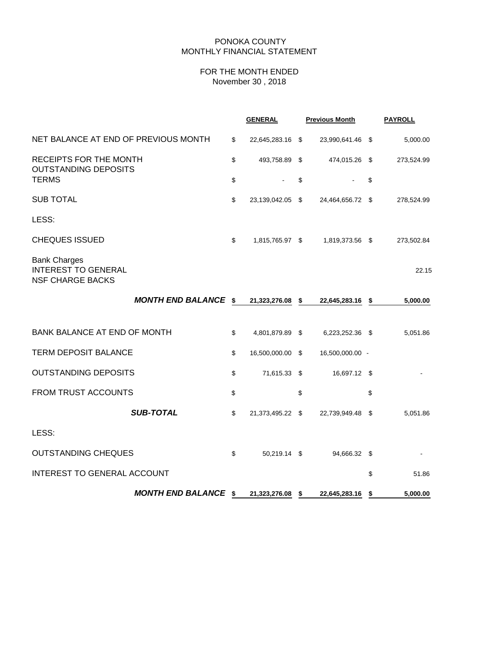## PONOKA COUNTY MONTHLY FINANCIAL STATEMENT

# FOR THE MONTH ENDED November 30 , 2018

|                                                                              |    | <b>GENERAL</b>   | <b>Previous Month</b> | <b>PAYROLL</b> |
|------------------------------------------------------------------------------|----|------------------|-----------------------|----------------|
| NET BALANCE AT END OF PREVIOUS MONTH                                         | \$ | 22,645,283.16 \$ | 23,990,641.46 \$      | 5,000.00       |
| RECEIPTS FOR THE MONTH<br><b>OUTSTANDING DEPOSITS</b>                        |    | 493,758.89 \$    | 474,015.26 \$         | 273,524.99     |
| <b>TERMS</b>                                                                 | \$ |                  | \$                    | \$             |
| <b>SUB TOTAL</b>                                                             | \$ | 23,139,042.05 \$ | 24,464,656.72 \$      | 278,524.99     |
| LESS:                                                                        |    |                  |                       |                |
| <b>CHEQUES ISSUED</b>                                                        | \$ | 1,815,765.97 \$  | 1,819,373.56 \$       | 273,502.84     |
| <b>Bank Charges</b><br><b>INTEREST TO GENERAL</b><br><b>NSF CHARGE BACKS</b> |    |                  |                       | 22.15          |
| MONTH END BALANCE \$                                                         |    | 21,323,276.08 \$ | 22,645,283.16 \$      | 5,000.00       |
| <b>BANK BALANCE AT END OF MONTH</b>                                          | \$ | 4,801,879.89 \$  | 6,223,252.36 \$       | 5,051.86       |
| <b>TERM DEPOSIT BALANCE</b>                                                  | \$ | 16,500,000.00 \$ | 16,500,000.00 -       |                |
| <b>OUTSTANDING DEPOSITS</b>                                                  | \$ | 71,615.33 \$     | 16,697.12 \$          |                |
| <b>FROM TRUST ACCOUNTS</b>                                                   | \$ |                  | \$                    | \$             |
| <b>SUB-TOTAL</b>                                                             | \$ | 21,373,495.22 \$ | 22,739,949.48 \$      | 5,051.86       |
| LESS:                                                                        |    |                  |                       |                |
| <b>OUTSTANDING CHEQUES</b>                                                   | \$ | 50,219.14 \$     | 94,666.32 \$          |                |
| INTEREST TO GENERAL ACCOUNT                                                  |    |                  |                       | \$<br>51.86    |
| <b>MONTH END BALANCE \$</b>                                                  |    | 21,323,276.08 \$ | 22,645,283.16 \$      | 5,000.00       |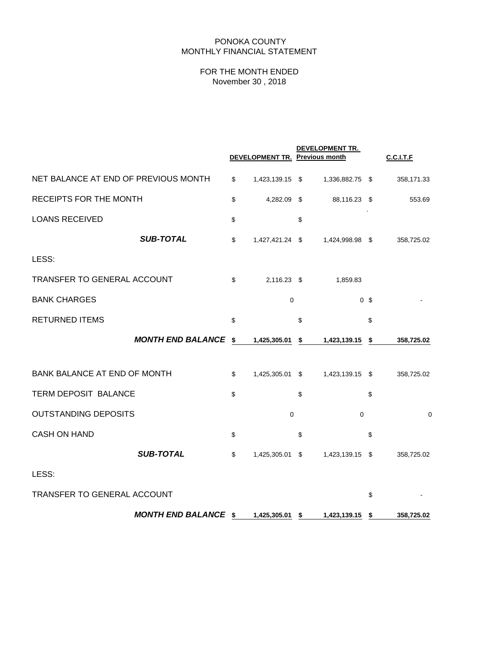## PONOKA COUNTY MONTHLY FINANCIAL STATEMENT

# FOR THE MONTH ENDED November 30 , 2018

|                                      |                             | DEVELOPMENT TR. Previous month | DEVELOPMENT TR.       |                | <b>C.C.I.T.F</b> |
|--------------------------------------|-----------------------------|--------------------------------|-----------------------|----------------|------------------|
| NET BALANCE AT END OF PREVIOUS MONTH |                             | \$<br>1,423,139.15 \$          | 1,336,882.75 \$       |                | 358,171.33       |
| RECEIPTS FOR THE MONTH               |                             | \$<br>4,282.09                 | \$<br>88,116.23       | \$             | 553.69           |
| <b>LOANS RECEIVED</b>                |                             | \$                             | \$                    |                |                  |
|                                      | <b>SUB-TOTAL</b>            | \$<br>1,427,421.24 \$          | 1,424,998.98 \$       |                | 358,725.02       |
| LESS:                                |                             |                                |                       |                |                  |
| TRANSFER TO GENERAL ACCOUNT          |                             | \$<br>2,116.23 \$              | 1,859.83              |                |                  |
| <b>BANK CHARGES</b>                  |                             | 0                              |                       | 0 <sup>5</sup> |                  |
| <b>RETURNED ITEMS</b>                |                             | \$                             | \$                    | \$             |                  |
|                                      | <b>MONTH END BALANCE</b>    | \$<br>1,425,305.01             | \$<br>1,423,139.15    | \$             | 358,725.02       |
| <b>BANK BALANCE AT END OF MONTH</b>  |                             | \$<br>1,425,305.01 \$          | 1,423,139.15 \$       |                | 358,725.02       |
| TERM DEPOSIT BALANCE                 |                             | \$                             | \$                    | \$             |                  |
| <b>OUTSTANDING DEPOSITS</b>          |                             | 0                              | $\mathbf 0$           |                | $\mathbf 0$      |
| <b>CASH ON HAND</b>                  |                             | \$                             | \$                    | \$             |                  |
|                                      | <b>SUB-TOTAL</b>            | \$<br>1,425,305.01             | \$<br>1,423,139.15 \$ |                | 358,725.02       |
| LESS:                                |                             |                                |                       |                |                  |
| TRANSFER TO GENERAL ACCOUNT          |                             |                                |                       | \$             |                  |
|                                      | <b>MONTH END BALANCE \$</b> | 1,425,305.01 \$                | 1,423,139.15          | \$             | 358,725.02       |